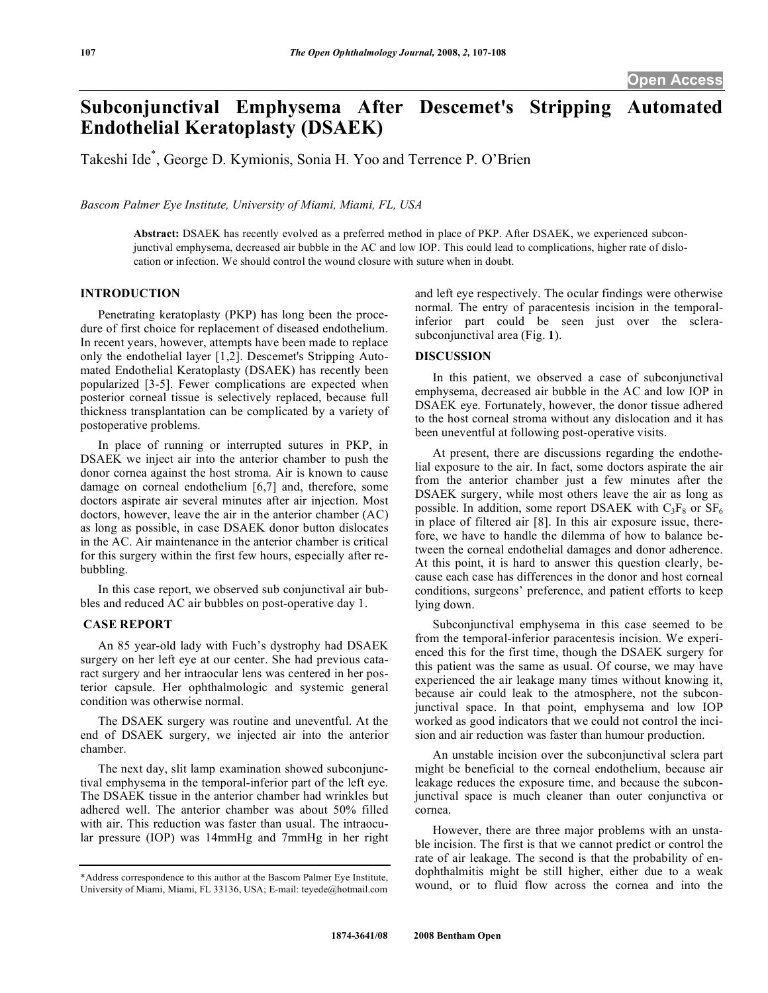# **Subconjunctival Emphysema After Descemet's Stripping Automated Endothelial Keratoplasty (DSAEK)**

Takeshi Ide\* , George D. Kymionis, Sonia H. Yoo and Terrence P. O'Brien

*Bascom Palmer Eye Institute, University of Miami, Miami, FL, USA* 

**Abstract:** DSAEK has recently evolved as a preferred method in place of PKP. After DSAEK, we experienced subconjunctival emphysema, decreased air bubble in the AC and low IOP. This could lead to complications, higher rate of dislocation or infection. We should control the wound closure with suture when in doubt.

# **INTRODUCTION**

 Penetrating keratoplasty (PKP) has long been the procedure of first choice for replacement of diseased endothelium. In recent years, however, attempts have been made to replace only the endothelial layer [1,2]. Descemet's Stripping Automated Endothelial Keratoplasty (DSAEK) has recently been popularized [3-5]. Fewer complications are expected when posterior corneal tissue is selectively replaced, because full thickness transplantation can be complicated by a variety of postoperative problems.

 In place of running or interrupted sutures in PKP, in DSAEK we inject air into the anterior chamber to push the donor cornea against the host stroma. Air is known to cause damage on corneal endothelium [6,7] and, therefore, some doctors aspirate air several minutes after air injection. Most doctors, however, leave the air in the anterior chamber (AC) as long as possible, in case DSAEK donor button dislocates in the AC. Air maintenance in the anterior chamber is critical for this surgery within the first few hours, especially after rebubbling.

 In this case report, we observed sub conjunctival air bubbles and reduced AC air bubbles on post-operative day 1.

# **CASE REPORT**

 An 85 year-old lady with Fuch's dystrophy had DSAEK surgery on her left eye at our center. She had previous cataract surgery and her intraocular lens was centered in her posterior capsule. Her ophthalmologic and systemic general condition was otherwise normal.

 The DSAEK surgery was routine and uneventful. At the end of DSAEK surgery, we injected air into the anterior chamber.

 The next day, slit lamp examination showed subconjunctival emphysema in the temporal-inferior part of the left eye. The DSAEK tissue in the anterior chamber had wrinkles but adhered well. The anterior chamber was about 50% filled with air. This reduction was faster than usual. The intraocular pressure (IOP) was 14mmHg and 7mmHg in her right

and left eye respectively. The ocular findings were otherwise normal. The entry of paracentesis incision in the temporalinferior part could be seen just over the sclerasubconjunctival area (Fig. **1**).

## **DISCUSSION**

 In this patient, we observed a case of subconjunctival emphysema, decreased air bubble in the AC and low IOP in DSAEK eye. Fortunately, however, the donor tissue adhered to the host corneal stroma without any dislocation and it has been uneventful at following post-operative visits.

 At present, there are discussions regarding the endothelial exposure to the air. In fact, some doctors aspirate the air from the anterior chamber just a few minutes after the DSAEK surgery, while most others leave the air as long as possible. In addition, some report DSAEK with  $C_3F_8$  or  $SF_6$ in place of filtered air [8]. In this air exposure issue, therefore, we have to handle the dilemma of how to balance between the corneal endothelial damages and donor adherence. At this point, it is hard to answer this question clearly, because each case has differences in the donor and host corneal conditions, surgeons' preference, and patient efforts to keep lying down.

 Subconjunctival emphysema in this case seemed to be from the temporal-inferior paracentesis incision. We experienced this for the first time, though the DSAEK surgery for this patient was the same as usual. Of course, we may have experienced the air leakage many times without knowing it, because air could leak to the atmosphere, not the subconjunctival space. In that point, emphysema and low IOP worked as good indicators that we could not control the incision and air reduction was faster than humour production.

 An unstable incision over the subconjunctival sclera part might be beneficial to the corneal endothelium, because air leakage reduces the exposure time, and because the subconjunctival space is much cleaner than outer conjunctiva or cornea.

 However, there are three major problems with an unstable incision. The first is that we cannot predict or control the rate of air leakage. The second is that the probability of endophthalmitis might be still higher, either due to a weak wound, or to fluid flow across the cornea and into the

<sup>\*</sup>Address correspondence to this author at the Bascom Palmer Eye Institute, University of Miami, Miami, FL 33136, USA; E-mail: teyede@hotmail.com